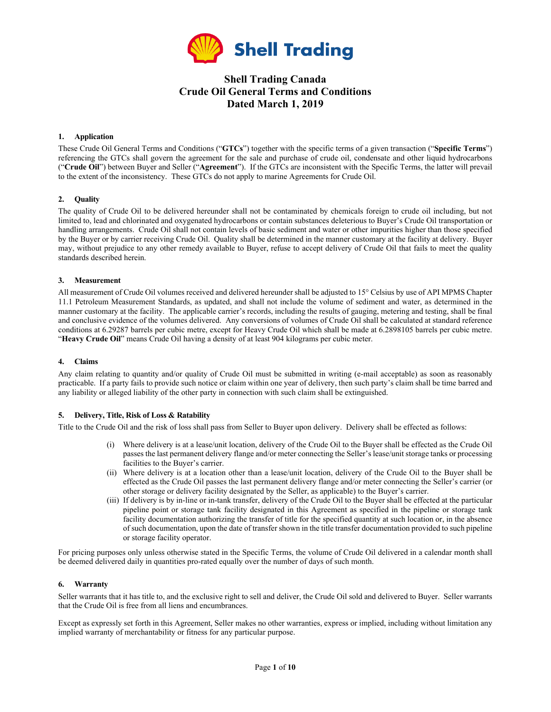

# **Shell Trading Canada Crude Oil General Terms and Conditions Dated March 1, 2019**

#### **1. Application**

These Crude Oil General Terms and Conditions ("**GTCs**") together with the specific terms of a given transaction ("**Specific Terms**") referencing the GTCs shall govern the agreement for the sale and purchase of crude oil, condensate and other liquid hydrocarbons ("**Crude Oil**") between Buyer and Seller ("**Agreement**"). If the GTCs are inconsistent with the Specific Terms, the latter will prevail to the extent of the inconsistency. These GTCs do not apply to marine Agreements for Crude Oil.

#### **2. Quality**

The quality of Crude Oil to be delivered hereunder shall not be contaminated by chemicals foreign to crude oil including, but not limited to, lead and chlorinated and oxygenated hydrocarbons or contain substances deleterious to Buyer's Crude Oil transportation or handling arrangements. Crude Oil shall not contain levels of basic sediment and water or other impurities higher than those specified by the Buyer or by carrier receiving Crude Oil. Quality shall be determined in the manner customary at the facility at delivery. Buyer may, without prejudice to any other remedy available to Buyer, refuse to accept delivery of Crude Oil that fails to meet the quality standards described herein.

#### **3. Measurement**

All measurement of Crude Oil volumes received and delivered hereunder shall be adjusted to 15° Celsius by use of API MPMS Chapter 11.1 Petroleum Measurement Standards, as updated, and shall not include the volume of sediment and water, as determined in the manner customary at the facility. The applicable carrier's records, including the results of gauging, metering and testing, shall be final and conclusive evidence of the volumes delivered. Any conversions of volumes of Crude Oil shall be calculated at standard reference conditions at 6.29287 barrels per cubic metre, except for Heavy Crude Oil which shall be made at 6.2898105 barrels per cubic metre. "**Heavy Crude Oil**" means Crude Oil having a density of at least 904 kilograms per cubic meter.

#### **4. Claims**

Any claim relating to quantity and/or quality of Crude Oil must be submitted in writing (e-mail acceptable) as soon as reasonably practicable. If a party fails to provide such notice or claim within one year of delivery, then such party's claim shall be time barred and any liability or alleged liability of the other party in connection with such claim shall be extinguished.

#### **5. Delivery, Title, Risk of Loss & Ratability**

Title to the Crude Oil and the risk of loss shall pass from Seller to Buyer upon delivery. Delivery shall be effected as follows:

- (i) Where delivery is at a lease/unit location, delivery of the Crude Oil to the Buyer shall be effected as the Crude Oil passes the last permanent delivery flange and/or meter connecting the Seller's lease/unit storage tanks or processing facilities to the Buyer's carrier.
- (ii) Where delivery is at a location other than a lease/unit location, delivery of the Crude Oil to the Buyer shall be effected as the Crude Oil passes the last permanent delivery flange and/or meter connecting the Seller's carrier (or other storage or delivery facility designated by the Seller, as applicable) to the Buyer's carrier.
- (iii) If delivery is by in-line or in-tank transfer, delivery of the Crude Oil to the Buyer shall be effected at the particular pipeline point or storage tank facility designated in this Agreement as specified in the pipeline or storage tank facility documentation authorizing the transfer of title for the specified quantity at such location or, in the absence of such documentation, upon the date of transfer shown in the title transfer documentation provided to such pipeline or storage facility operator.

For pricing purposes only unless otherwise stated in the Specific Terms, the volume of Crude Oil delivered in a calendar month shall be deemed delivered daily in quantities pro-rated equally over the number of days of such month.

#### **6. Warranty**

Seller warrants that it has title to, and the exclusive right to sell and deliver, the Crude Oil sold and delivered to Buyer. Seller warrants that the Crude Oil is free from all liens and encumbrances.

Except as expressly set forth in this Agreement, Seller makes no other warranties, express or implied, including without limitation any implied warranty of merchantability or fitness for any particular purpose.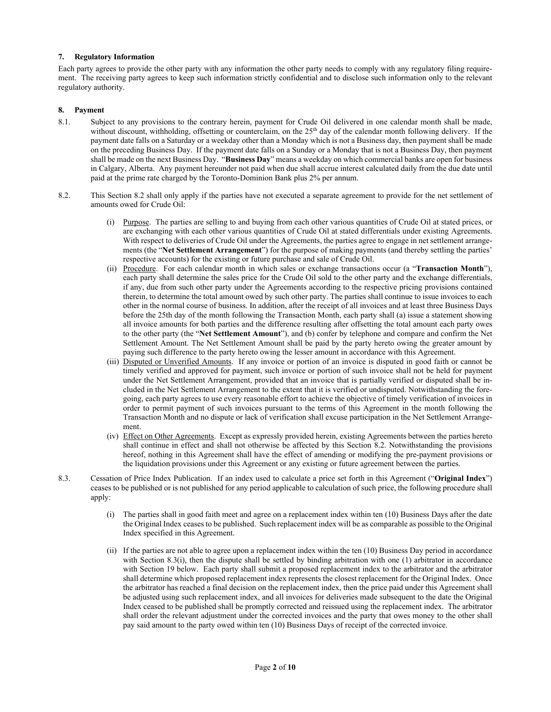#### **7. Regulatory Information**

Each party agrees to provide the other party with any information the other party needs to comply with any regulatory filing requirement. The receiving party agrees to keep such information strictly confidential and to disclose such information only to the relevant regulatory authority.

#### **8. Payment**

- 8.1. Subject to any provisions to the contrary herein, payment for Crude Oil delivered in one calendar month shall be made, without discount, withholding, offsetting or counterclaim, on the 25<sup>th</sup> day of the calendar month following delivery. If the payment date falls on a Saturday or a weekday other than a Monday which is not a Business day, then payment shall be made on the preceding Business Day. If the payment date falls on a Sunday or a Monday that is not a Business Day, then payment shall be made on the next Business Day. "**Business Day**" means a weekday on which commercial banks are open for business in Calgary, Alberta. Any payment hereunder not paid when due shall accrue interest calculated daily from the due date until paid at the prime rate charged by the Toronto-Dominion Bank plus 2% per annum.
- 8.2. This Section 8.2 shall only apply if the parties have not executed a separate agreement to provide for the net settlement of amounts owed for Crude Oil:
	- (i) Purpose. The parties are selling to and buying from each other various quantities of Crude Oil at stated prices, or are exchanging with each other various quantities of Crude Oil at stated differentials under existing Agreements. With respect to deliveries of Crude Oil under the Agreements, the parties agree to engage in net settlement arrangements (the "**Net Settlement Arrangement**") for the purpose of making payments (and thereby settling the parties' respective accounts) for the existing or future purchase and sale of Crude Oil.
	- (ii) Procedure. For each calendar month in which sales or exchange transactions occur (a "**Transaction Month**"), each party shall determine the sales price for the Crude Oil sold to the other party and the exchange differentials, if any, due from such other party under the Agreements according to the respective pricing provisions contained therein, to determine the total amount owed by such other party. The parties shall continue to issue invoices to each other in the normal course of business. In addition, after the receipt of all invoices and at least three Business Days before the 25th day of the month following the Transaction Month, each party shall (a) issue a statement showing all invoice amounts for both parties and the difference resulting after offsetting the total amount each party owes to the other party (the "**Net Settlement Amount**"), and (b) confer by telephone and compare and confirm the Net Settlement Amount. The Net Settlement Amount shall be paid by the party hereto owing the greater amount by paying such difference to the party hereto owing the lesser amount in accordance with this Agreement.
	- (iii) Disputed or Unverified Amounts. If any invoice or portion of an invoice is disputed in good faith or cannot be timely verified and approved for payment, such invoice or portion of such invoice shall not be held for payment under the Net Settlement Arrangement, provided that an invoice that is partially verified or disputed shall be included in the Net Settlement Arrangement to the extent that it is verified or undisputed. Notwithstanding the foregoing, each party agrees to use every reasonable effort to achieve the objective of timely verification of invoices in order to permit payment of such invoices pursuant to the terms of this Agreement in the month following the Transaction Month and no dispute or lack of verification shall excuse participation in the Net Settlement Arrangement.
	- (iv) Effect on Other Agreements. Except as expressly provided herein, existing Agreements between the parties hereto shall continue in effect and shall not otherwise be affected by this Section 8.2. Notwithstanding the provisions hereof, nothing in this Agreement shall have the effect of amending or modifying the pre-payment provisions or the liquidation provisions under this Agreement or any existing or future agreement between the parties.
- 8.3. Cessation of Price Index Publication. If an index used to calculate a price set forth in this Agreement ("**Original Index**") ceases to be published or is not published for any period applicable to calculation of such price, the following procedure shall apply:
	- (i) The parties shall in good faith meet and agree on a replacement index within ten (10) Business Days after the date the Original Index ceases to be published. Such replacement index will be as comparable as possible to the Original Index specified in this Agreement.
	- (ii) If the parties are not able to agree upon a replacement index within the ten (10) Business Day period in accordance with Section 8.3(i), then the dispute shall be settled by binding arbitration with one (1) arbitrator in accordance with Section 19 below. Each party shall submit a proposed replacement index to the arbitrator and the arbitrator shall determine which proposed replacement index represents the closest replacement for the Original Index. Once the arbitrator has reached a final decision on the replacement index, then the price paid under this Agreement shall be adjusted using such replacement index, and all invoices for deliveries made subsequent to the date the Original Index ceased to be published shall be promptly corrected and reissued using the replacement index. The arbitrator shall order the relevant adjustment under the corrected invoices and the party that owes money to the other shall pay said amount to the party owed within ten (10) Business Days of receipt of the corrected invoice.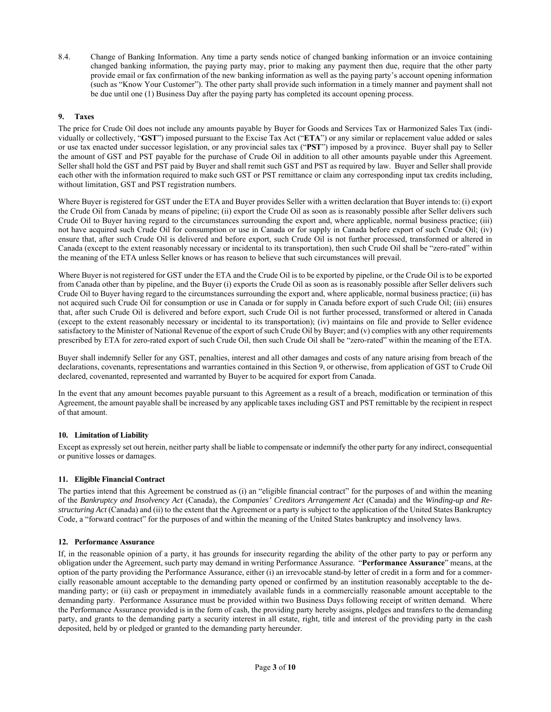8.4. Change of Banking Information. Any time a party sends notice of changed banking information or an invoice containing changed banking information, the paying party may, prior to making any payment then due, require that the other party provide email or fax confirmation of the new banking information as well as the paying party's account opening information (such as "Know Your Customer"). The other party shall provide such information in a timely manner and payment shall not be due until one (1) Business Day after the paying party has completed its account opening process.

### **9. Taxes**

The price for Crude Oil does not include any amounts payable by Buyer for Goods and Services Tax or Harmonized Sales Tax (individually or collectively, "**GST**") imposed pursuant to the Excise Tax Act ("**ETA**") or any similar or replacement value added or sales or use tax enacted under successor legislation, or any provincial sales tax ("**PST**") imposed by a province. Buyer shall pay to Seller the amount of GST and PST payable for the purchase of Crude Oil in addition to all other amounts payable under this Agreement. Seller shall hold the GST and PST paid by Buyer and shall remit such GST and PST as required by law. Buyer and Seller shall provide each other with the information required to make such GST or PST remittance or claim any corresponding input tax credits including, without limitation, GST and PST registration numbers.

Where Buyer is registered for GST under the ETA and Buyer provides Seller with a written declaration that Buyer intends to: (i) export the Crude Oil from Canada by means of pipeline; (ii) export the Crude Oil as soon as is reasonably possible after Seller delivers such Crude Oil to Buyer having regard to the circumstances surrounding the export and, where applicable, normal business practice; (iii) not have acquired such Crude Oil for consumption or use in Canada or for supply in Canada before export of such Crude Oil; (iv) ensure that, after such Crude Oil is delivered and before export, such Crude Oil is not further processed, transformed or altered in Canada (except to the extent reasonably necessary or incidental to its transportation), then such Crude Oil shall be "zero-rated" within the meaning of the ETA unless Seller knows or has reason to believe that such circumstances will prevail.

Where Buyer is not registered for GST under the ETA and the Crude Oil is to be exported by pipeline, or the Crude Oil is to be exported from Canada other than by pipeline, and the Buyer (i) exports the Crude Oil as soon as is reasonably possible after Seller delivers such Crude Oil to Buyer having regard to the circumstances surrounding the export and, where applicable, normal business practice; (ii) has not acquired such Crude Oil for consumption or use in Canada or for supply in Canada before export of such Crude Oil; (iii) ensures that, after such Crude Oil is delivered and before export, such Crude Oil is not further processed, transformed or altered in Canada (except to the extent reasonably necessary or incidental to its transportation); (iv) maintains on file and provide to Seller evidence satisfactory to the Minister of National Revenue of the export of such Crude Oil by Buyer; and (v) complies with any other requirements prescribed by ETA for zero-rated export of such Crude Oil, then such Crude Oil shall be "zero-rated" within the meaning of the ETA.

Buyer shall indemnify Seller for any GST, penalties, interest and all other damages and costs of any nature arising from breach of the declarations, covenants, representations and warranties contained in this Section 9, or otherwise, from application of GST to Crude Oil declared, covenanted, represented and warranted by Buyer to be acquired for export from Canada.

In the event that any amount becomes payable pursuant to this Agreement as a result of a breach, modification or termination of this Agreement, the amount payable shall be increased by any applicable taxes including GST and PST remittable by the recipient in respect of that amount.

### **10. Limitation of Liability**

Except as expressly set out herein, neither party shall be liable to compensate or indemnify the other party for any indirect, consequential or punitive losses or damages.

### **11. Eligible Financial Contract**

The parties intend that this Agreement be construed as (i) an "eligible financial contract" for the purposes of and within the meaning of the *Bankruptcy and Insolvency Act* (Canada), the *Companies' Creditors Arrangement Act* (Canada) and the *Winding-up and Restructuring Act* (Canada) and (ii) to the extent that the Agreement or a party is subject to the application of the United States Bankruptcy Code, a "forward contract" for the purposes of and within the meaning of the United States bankruptcy and insolvency laws.

### **12. Performance Assurance**

If, in the reasonable opinion of a party, it has grounds for insecurity regarding the ability of the other party to pay or perform any obligation under the Agreement, such party may demand in writing Performance Assurance. "**Performance Assurance**" means, at the option of the party providing the Performance Assurance, either (i) an irrevocable stand-by letter of credit in a form and for a commercially reasonable amount acceptable to the demanding party opened or confirmed by an institution reasonably acceptable to the demanding party; or (ii) cash or prepayment in immediately available funds in a commercially reasonable amount acceptable to the demanding party. Performance Assurance must be provided within two Business Days following receipt of written demand. Where the Performance Assurance provided is in the form of cash, the providing party hereby assigns, pledges and transfers to the demanding party, and grants to the demanding party a security interest in all estate, right, title and interest of the providing party in the cash deposited, held by or pledged or granted to the demanding party hereunder.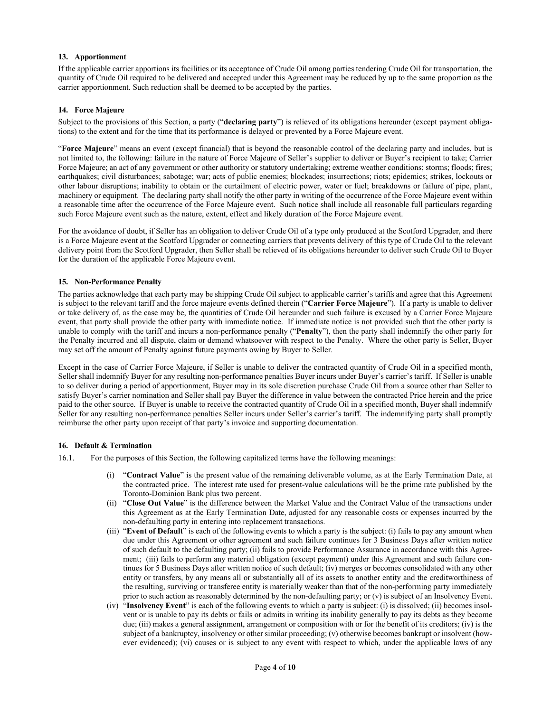### **13. Apportionment**

If the applicable carrier apportions its facilities or its acceptance of Crude Oil among parties tendering Crude Oil for transportation, the quantity of Crude Oil required to be delivered and accepted under this Agreement may be reduced by up to the same proportion as the carrier apportionment. Such reduction shall be deemed to be accepted by the parties.

#### **14. Force Majeure**

Subject to the provisions of this Section, a party ("**declaring party**") is relieved of its obligations hereunder (except payment obligations) to the extent and for the time that its performance is delayed or prevented by a Force Majeure event.

"**Force Majeure**" means an event (except financial) that is beyond the reasonable control of the declaring party and includes, but is not limited to, the following: failure in the nature of Force Majeure of Seller's supplier to deliver or Buyer's recipient to take; Carrier Force Majeure; an act of any government or other authority or statutory undertaking; extreme weather conditions; storms; floods; fires; earthquakes; civil disturbances; sabotage; war; acts of public enemies; blockades; insurrections; riots; epidemics; strikes, lockouts or other labour disruptions; inability to obtain or the curtailment of electric power, water or fuel; breakdowns or failure of pipe, plant, machinery or equipment. The declaring party shall notify the other party in writing of the occurrence of the Force Majeure event within a reasonable time after the occurrence of the Force Majeure event. Such notice shall include all reasonable full particulars regarding such Force Majeure event such as the nature, extent, effect and likely duration of the Force Majeure event.

For the avoidance of doubt, if Seller has an obligation to deliver Crude Oil of a type only produced at the Scotford Upgrader, and there is a Force Majeure event at the Scotford Upgrader or connecting carriers that prevents delivery of this type of Crude Oil to the relevant delivery point from the Scotford Upgrader, then Seller shall be relieved of its obligations hereunder to deliver such Crude Oil to Buyer for the duration of the applicable Force Majeure event.

### **15. Non-Performance Penalty**

The parties acknowledge that each party may be shipping Crude Oil subject to applicable carrier's tariffs and agree that this Agreement is subject to the relevant tariff and the force majeure events defined therein ("**Carrier Force Majeure**"). If a party is unable to deliver or take delivery of, as the case may be, the quantities of Crude Oil hereunder and such failure is excused by a Carrier Force Majeure event, that party shall provide the other party with immediate notice. If immediate notice is not provided such that the other party is unable to comply with the tariff and incurs a non-performance penalty ("**Penalty**"), then the party shall indemnify the other party for the Penalty incurred and all dispute, claim or demand whatsoever with respect to the Penalty. Where the other party is Seller, Buyer may set off the amount of Penalty against future payments owing by Buyer to Seller.

Except in the case of Carrier Force Majeure, if Seller is unable to deliver the contracted quantity of Crude Oil in a specified month, Seller shall indemnify Buyer for any resulting non-performance penalties Buyer incurs under Buyer's carrier's tariff. If Seller is unable to so deliver during a period of apportionment, Buyer may in its sole discretion purchase Crude Oil from a source other than Seller to satisfy Buyer's carrier nomination and Seller shall pay Buyer the difference in value between the contracted Price herein and the price paid to the other source. If Buyer is unable to receive the contracted quantity of Crude Oil in a specified month, Buyer shall indemnify Seller for any resulting non-performance penalties Seller incurs under Seller's carrier's tariff. The indemnifying party shall promptly reimburse the other party upon receipt of that party's invoice and supporting documentation.

#### **16. Default & Termination**

- 16.1. For the purposes of this Section, the following capitalized terms have the following meanings:
	- (i) "**Contract Value**" is the present value of the remaining deliverable volume, as at the Early Termination Date, at the contracted price. The interest rate used for present-value calculations will be the prime rate published by the Toronto-Dominion Bank plus two percent.
	- (ii) "**Close Out Value**" is the difference between the Market Value and the Contract Value of the transactions under this Agreement as at the Early Termination Date, adjusted for any reasonable costs or expenses incurred by the non-defaulting party in entering into replacement transactions.
	- (iii) "**Event of Default**" is each of the following events to which a party is the subject: (i) fails to pay any amount when due under this Agreement or other agreement and such failure continues for 3 Business Days after written notice of such default to the defaulting party; (ii) fails to provide Performance Assurance in accordance with this Agreement; (iii) fails to perform any material obligation (except payment) under this Agreement and such failure continues for 5 Business Days after written notice of such default; (iv) merges or becomes consolidated with any other entity or transfers, by any means all or substantially all of its assets to another entity and the creditworthiness of the resulting, surviving or transferee entity is materially weaker than that of the non-performing party immediately prior to such action as reasonably determined by the non-defaulting party; or (v) is subject of an Insolvency Event.
	- (iv) "**Insolvency Event**" is each of the following events to which a party is subject: (i) is dissolved; (ii) becomes insolvent or is unable to pay its debts or fails or admits in writing its inability generally to pay its debts as they become due; (iii) makes a general assignment, arrangement or composition with or for the benefit of its creditors; (iv) is the subject of a bankruptcy, insolvency or other similar proceeding; (v) otherwise becomes bankrupt or insolvent (however evidenced); (vi) causes or is subject to any event with respect to which, under the applicable laws of any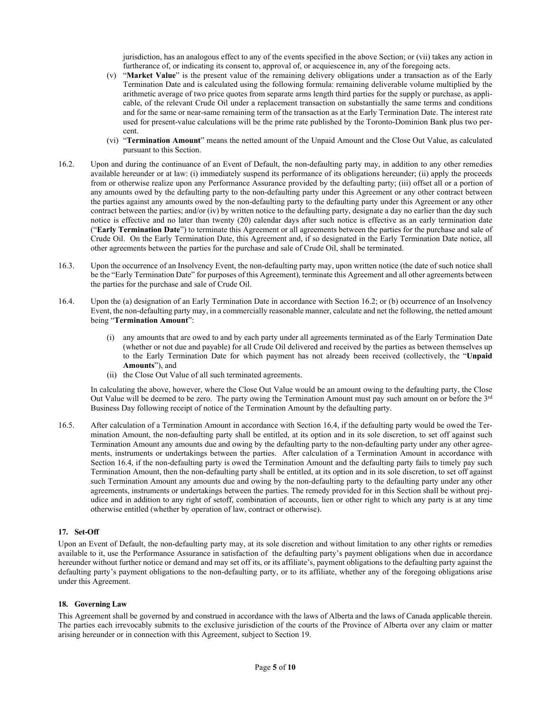jurisdiction, has an analogous effect to any of the events specified in the above Section; or (vii) takes any action in furtherance of, or indicating its consent to, approval of, or acquiescence in, any of the foregoing acts.

- (v) "**Market Value**" is the present value of the remaining delivery obligations under a transaction as of the Early Termination Date and is calculated using the following formula: remaining deliverable volume multiplied by the arithmetic average of two price quotes from separate arms length third parties for the supply or purchase, as applicable, of the relevant Crude Oil under a replacement transaction on substantially the same terms and conditions and for the same or near-same remaining term of the transaction as at the Early Termination Date. The interest rate used for present-value calculations will be the prime rate published by the Toronto-Dominion Bank plus two percent.
- (vi) "**Termination Amount**" means the netted amount of the Unpaid Amount and the Close Out Value, as calculated pursuant to this Section.
- 16.2. Upon and during the continuance of an Event of Default, the non-defaulting party may, in addition to any other remedies available hereunder or at law: (i) immediately suspend its performance of its obligations hereunder; (ii) apply the proceeds from or otherwise realize upon any Performance Assurance provided by the defaulting party; (iii) offset all or a portion of any amounts owed by the defaulting party to the non-defaulting party under this Agreement or any other contract between the parties against any amounts owed by the non-defaulting party to the defaulting party under this Agreement or any other contract between the parties; and/or (iv) by written notice to the defaulting party, designate a day no earlier than the day such notice is effective and no later than twenty (20) calendar days after such notice is effective as an early termination date ("**Early Termination Date**") to terminate this Agreement or all agreements between the parties for the purchase and sale of Crude Oil. On the Early Termination Date, this Agreement and, if so designated in the Early Termination Date notice, all other agreements between the parties for the purchase and sale of Crude Oil, shall be terminated.
- 16.3. Upon the occurrence of an Insolvency Event, the non-defaulting party may, upon written notice (the date of such notice shall be the "Early Termination Date" for purposes of this Agreement), terminate this Agreement and all other agreements between the parties for the purchase and sale of Crude Oil.
- 16.4. Upon the (a) designation of an Early Termination Date in accordance with Section 16.2; or (b) occurrence of an Insolvency Event, the non-defaulting party may, in a commercially reasonable manner, calculate and net the following, the netted amount being "**Termination Amount**":
	- (i) any amounts that are owed to and by each party under all agreements terminated as of the Early Termination Date (whether or not due and payable) for all Crude Oil delivered and received by the parties as between themselves up to the Early Termination Date for which payment has not already been received (collectively, the "**Unpaid Amounts**"), and
	- (ii) the Close Out Value of all such terminated agreements.

In calculating the above, however, where the Close Out Value would be an amount owing to the defaulting party, the Close Out Value will be deemed to be zero. The party owing the Termination Amount must pay such amount on or before the  $3^{rd}$ Business Day following receipt of notice of the Termination Amount by the defaulting party.

16.5. After calculation of a Termination Amount in accordance with Section 16.4, if the defaulting party would be owed the Termination Amount, the non-defaulting party shall be entitled, at its option and in its sole discretion, to set off against such Termination Amount any amounts due and owing by the defaulting party to the non-defaulting party under any other agreements, instruments or undertakings between the parties. After calculation of a Termination Amount in accordance with Section 16.4, if the non-defaulting party is owed the Termination Amount and the defaulting party fails to timely pay such Termination Amount, then the non-defaulting party shall be entitled, at its option and in its sole discretion, to set off against such Termination Amount any amounts due and owing by the non-defaulting party to the defaulting party under any other agreements, instruments or undertakings between the parties. The remedy provided for in this Section shall be without prejudice and in addition to any right of setoff, combination of accounts, lien or other right to which any party is at any time otherwise entitled (whether by operation of law, contract or otherwise).

#### **17. Set-Off**

Upon an Event of Default, the non-defaulting party may, at its sole discretion and without limitation to any other rights or remedies available to it, use the Performance Assurance in satisfaction of the defaulting party's payment obligations when due in accordance hereunder without further notice or demand and may set off its, or its affiliate's, payment obligations to the defaulting party against the defaulting party's payment obligations to the non-defaulting party, or to its affiliate, whether any of the foregoing obligations arise under this Agreement.

#### **18. Governing Law**

This Agreement shall be governed by and construed in accordance with the laws of Alberta and the laws of Canada applicable therein. The parties each irrevocably submits to the exclusive jurisdiction of the courts of the Province of Alberta over any claim or matter arising hereunder or in connection with this Agreement, subject to Section 19.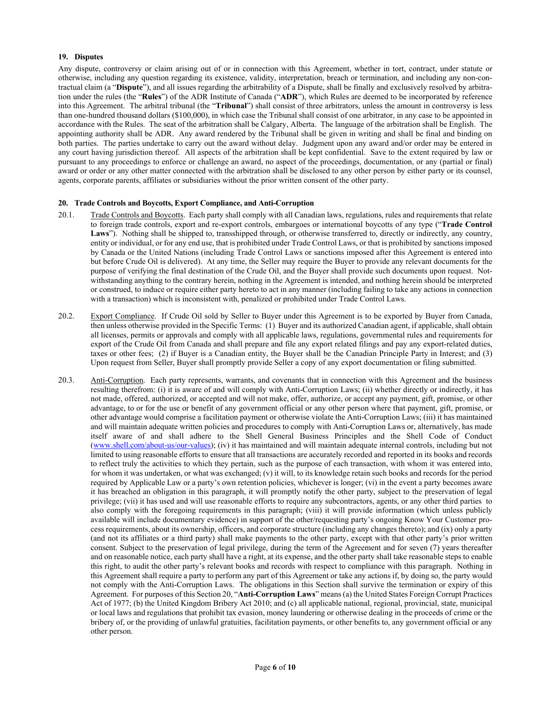#### **19. Disputes**

Any dispute, controversy or claim arising out of or in connection with this Agreement, whether in tort, contract, under statute or otherwise, including any question regarding its existence, validity, interpretation, breach or termination, and including any non-contractual claim (a "**Dispute**"), and all issues regarding the arbitrability of a Dispute, shall be finally and exclusively resolved by arbitration under the rules (the "**Rules**") of the ADR Institute of Canada ("**ADR**"), which Rules are deemed to be incorporated by reference into this Agreement. The arbitral tribunal (the "**Tribunal**") shall consist of three arbitrators, unless the amount in controversy is less than one-hundred thousand dollars (\$100,000), in which case the Tribunal shall consist of one arbitrator, in any case to be appointed in accordance with the Rules. The seat of the arbitration shall be Calgary, Alberta. The language of the arbitration shall be English. The appointing authority shall be ADR. Any award rendered by the Tribunal shall be given in writing and shall be final and binding on both parties. The parties undertake to carry out the award without delay. Judgment upon any award and/or order may be entered in any court having jurisdiction thereof. All aspects of the arbitration shall be kept confidential. Save to the extent required by law or pursuant to any proceedings to enforce or challenge an award, no aspect of the proceedings, documentation, or any (partial or final) award or order or any other matter connected with the arbitration shall be disclosed to any other person by either party or its counsel, agents, corporate parents, affiliates or subsidiaries without the prior written consent of the other party.

#### **20. Trade Controls and Boycotts, Export Compliance, and Anti-Corruption**

- 20.1. Trade Controls and Boycotts. Each party shall comply with all Canadian laws, regulations, rules and requirements that relate to foreign trade controls, export and re-export controls, embargoes or international boycotts of any type ("**Trade Control**  Laws"). Nothing shall be shipped to, transshipped through, or otherwise transferred to, directly or indirectly, any country, entity or individual, or for any end use, that is prohibited under Trade Control Laws, or that is prohibited by sanctions imposed by Canada or the United Nations (including Trade Control Laws or sanctions imposed after this Agreement is entered into but before Crude Oil is delivered). At any time, the Seller may require the Buyer to provide any relevant documents for the purpose of verifying the final destination of the Crude Oil, and the Buyer shall provide such documents upon request. Notwithstanding anything to the contrary herein, nothing in the Agreement is intended, and nothing herein should be interpreted or construed, to induce or require either party hereto to act in any manner (including failing to take any actions in connection with a transaction) which is inconsistent with, penalized or prohibited under Trade Control Laws.
- 20.2. Export Compliance. If Crude Oil sold by Seller to Buyer under this Agreement is to be exported by Buyer from Canada, then unless otherwise provided in the Specific Terms: (1) Buyer and its authorized Canadian agent, if applicable, shall obtain all licenses, permits or approvals and comply with all applicable laws, regulations, governmental rules and requirements for export of the Crude Oil from Canada and shall prepare and file any export related filings and pay any export-related duties, taxes or other fees; (2) if Buyer is a Canadian entity, the Buyer shall be the Canadian Principle Party in Interest; and (3) Upon request from Seller, Buyer shall promptly provide Seller a copy of any export documentation or filing submitted.
- 20.3. Anti-Corruption. Each party represents, warrants, and covenants that in connection with this Agreement and the business resulting therefrom: (i) it is aware of and will comply with Anti-Corruption Laws; (ii) whether directly or indirectly, it has not made, offered, authorized, or accepted and will not make, offer, authorize, or accept any payment, gift, promise, or other advantage, to or for the use or benefit of any government official or any other person where that payment, gift, promise, or other advantage would comprise a facilitation payment or otherwise violate the Anti-Corruption Laws; (iii) it has maintained and will maintain adequate written policies and procedures to comply with Anti-Corruption Laws or, alternatively, has made itself aware of and shall adhere to the Shell General Business Principles and the Shell Code of Conduct (www.shell.com/about-us/our-values); (iv) it has maintained and will maintain adequate internal controls, including but not limited to using reasonable efforts to ensure that all transactions are accurately recorded and reported in its books and records to reflect truly the activities to which they pertain, such as the purpose of each transaction, with whom it was entered into, for whom it was undertaken, or what was exchanged; (v) it will, to its knowledge retain such books and records for the period required by Applicable Law or a party's own retention policies, whichever is longer; (vi) in the event a party becomes aware it has breached an obligation in this paragraph, it will promptly notify the other party, subject to the preservation of legal privilege; (vii) it has used and will use reasonable efforts to require any subcontractors, agents, or any other third parties to also comply with the foregoing requirements in this paragraph; (viii) it will provide information (which unless publicly available will include documentary evidence) in support of the other/requesting party's ongoing Know Your Customer process requirements, about its ownership, officers, and corporate structure (including any changes thereto); and (ix) only a party (and not its affiliates or a third party) shall make payments to the other party, except with that other party's prior written consent. Subject to the preservation of legal privilege, during the term of the Agreement and for seven (7) years thereafter and on reasonable notice, each party shall have a right, at its expense, and the other party shall take reasonable steps to enable this right, to audit the other party's relevant books and records with respect to compliance with this paragraph. Nothing in this Agreement shall require a party to perform any part of this Agreement or take any actions if, by doing so, the party would not comply with the Anti-Corruption Laws. The obligations in this Section shall survive the termination or expiry of this Agreement. For purposes of this Section 20, "**Anti-Corruption Laws**" means (a) the United States Foreign Corrupt Practices Act of 1977; (b) the United Kingdom Bribery Act 2010; and (c) all applicable national, regional, provincial, state, municipal or local laws and regulations that prohibit tax evasion, money laundering or otherwise dealing in the proceeds of crime or the bribery of, or the providing of unlawful gratuities, facilitation payments, or other benefits to, any government official or any other person.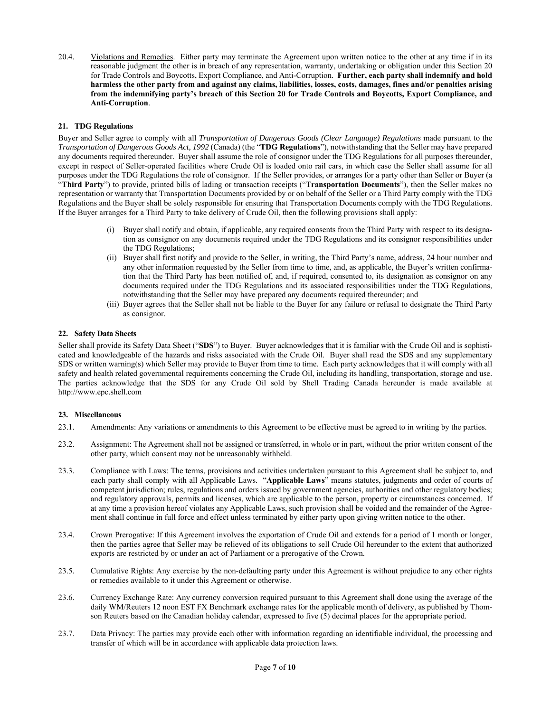20.4. Violations and Remedies. Either party may terminate the Agreement upon written notice to the other at any time if in its reasonable judgment the other is in breach of any representation, warranty, undertaking or obligation under this Section 20 for Trade Controls and Boycotts, Export Compliance, and Anti-Corruption. **Further, each party shall indemnify and hold harmless the other party from and against any claims, liabilities, losses, costs, damages, fines and/or penalties arising from the indemnifying party's breach of this Section 20 for Trade Controls and Boycotts, Export Compliance, and Anti-Corruption**.

### **21. TDG Regulations**

Buyer and Seller agree to comply with all *Transportation of Dangerous Goods (Clear Language) Regulations* made pursuant to the *Transportation of Dangerous Goods Act, 1992* (Canada) (the "**TDG Regulations**"), notwithstanding that the Seller may have prepared any documents required thereunder. Buyer shall assume the role of consignor under the TDG Regulations for all purposes thereunder, except in respect of Seller-operated facilities where Crude Oil is loaded onto rail cars, in which case the Seller shall assume for all purposes under the TDG Regulations the role of consignor. If the Seller provides, or arranges for a party other than Seller or Buyer (a "**Third Party**") to provide, printed bills of lading or transaction receipts ("**Transportation Documents**"), then the Seller makes no representation or warranty that Transportation Documents provided by or on behalf of the Seller or a Third Party comply with the TDG Regulations and the Buyer shall be solely responsible for ensuring that Transportation Documents comply with the TDG Regulations. If the Buyer arranges for a Third Party to take delivery of Crude Oil, then the following provisions shall apply:

- (i) Buyer shall notify and obtain, if applicable, any required consents from the Third Party with respect to its designation as consignor on any documents required under the TDG Regulations and its consignor responsibilities under the TDG Regulations;
- (ii) Buyer shall first notify and provide to the Seller, in writing, the Third Party's name, address, 24 hour number and any other information requested by the Seller from time to time, and, as applicable, the Buyer's written confirmation that the Third Party has been notified of, and, if required, consented to, its designation as consignor on any documents required under the TDG Regulations and its associated responsibilities under the TDG Regulations, notwithstanding that the Seller may have prepared any documents required thereunder; and
- (iii) Buyer agrees that the Seller shall not be liable to the Buyer for any failure or refusal to designate the Third Party as consignor.

### **22. Safety Data Sheets**

Seller shall provide its Safety Data Sheet ("**SDS**") to Buyer. Buyer acknowledges that it is familiar with the Crude Oil and is sophisticated and knowledgeable of the hazards and risks associated with the Crude Oil. Buyer shall read the SDS and any supplementary SDS or written warning(s) which Seller may provide to Buyer from time to time. Each party acknowledges that it will comply with all safety and health related governmental requirements concerning the Crude Oil, including its handling, transportation, storage and use. The parties acknowledge that the SDS for any Crude Oil sold by Shell Trading Canada hereunder is made available at http://www.epc.shell.com

### **23. Miscellaneous**

- 23.1. Amendments: Any variations or amendments to this Agreement to be effective must be agreed to in writing by the parties.
- 23.2. Assignment: The Agreement shall not be assigned or transferred, in whole or in part, without the prior written consent of the other party, which consent may not be unreasonably withheld.
- 23.3. Compliance with Laws: The terms, provisions and activities undertaken pursuant to this Agreement shall be subject to, and each party shall comply with all Applicable Laws. "**Applicable Laws**" means statutes, judgments and order of courts of competent jurisdiction; rules, regulations and orders issued by government agencies, authorities and other regulatory bodies; and regulatory approvals, permits and licenses, which are applicable to the person, property or circumstances concerned. If at any time a provision hereof violates any Applicable Laws, such provision shall be voided and the remainder of the Agreement shall continue in full force and effect unless terminated by either party upon giving written notice to the other.
- 23.4. Crown Prerogative: If this Agreement involves the exportation of Crude Oil and extends for a period of 1 month or longer, then the parties agree that Seller may be relieved of its obligations to sell Crude Oil hereunder to the extent that authorized exports are restricted by or under an act of Parliament or a prerogative of the Crown.
- 23.5. Cumulative Rights: Any exercise by the non-defaulting party under this Agreement is without prejudice to any other rights or remedies available to it under this Agreement or otherwise.
- 23.6. Currency Exchange Rate: Any currency conversion required pursuant to this Agreement shall done using the average of the daily WM/Reuters 12 noon EST FX Benchmark exchange rates for the applicable month of delivery, as published by Thomson Reuters based on the Canadian holiday calendar, expressed to five (5) decimal places for the appropriate period.
- 23.7. Data Privacy: The parties may provide each other with information regarding an identifiable individual, the processing and transfer of which will be in accordance with applicable data protection laws.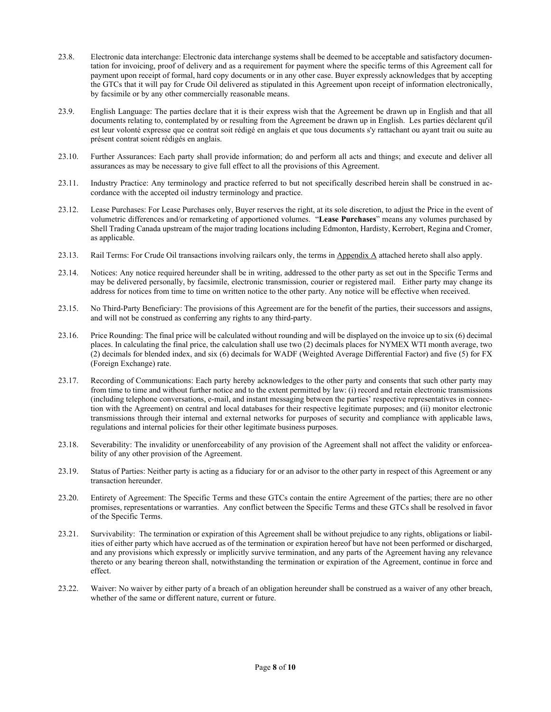- 23.8. Electronic data interchange: Electronic data interchange systems shall be deemed to be acceptable and satisfactory documentation for invoicing, proof of delivery and as a requirement for payment where the specific terms of this Agreement call for payment upon receipt of formal, hard copy documents or in any other case. Buyer expressly acknowledges that by accepting the GTCs that it will pay for Crude Oil delivered as stipulated in this Agreement upon receipt of information electronically, by facsimile or by any other commercially reasonable means.
- 23.9. English Language: The parties declare that it is their express wish that the Agreement be drawn up in English and that all documents relating to, contemplated by or resulting from the Agreement be drawn up in English. Les parties déclarent qu'il est leur volonté expresse que ce contrat soit rédigé en anglais et que tous documents s'y rattachant ou ayant trait ou suite au présent contrat soient rédigés en anglais.
- 23.10. Further Assurances: Each party shall provide information; do and perform all acts and things; and execute and deliver all assurances as may be necessary to give full effect to all the provisions of this Agreement.
- 23.11. Industry Practice: Any terminology and practice referred to but not specifically described herein shall be construed in accordance with the accepted oil industry terminology and practice.
- 23.12. Lease Purchases: For Lease Purchases only, Buyer reserves the right, at its sole discretion, to adjust the Price in the event of volumetric differences and/or remarketing of apportioned volumes. "**Lease Purchases**" means any volumes purchased by Shell Trading Canada upstream of the major trading locations including Edmonton, Hardisty, Kerrobert, Regina and Cromer, as applicable.
- 23.13. Rail Terms: For Crude Oil transactions involving railcars only, the terms in **Appendix A** attached hereto shall also apply.
- 23.14. Notices: Any notice required hereunder shall be in writing, addressed to the other party as set out in the Specific Terms and may be delivered personally, by facsimile, electronic transmission, courier or registered mail. Either party may change its address for notices from time to time on written notice to the other party. Any notice will be effective when received.
- 23.15. No Third-Party Beneficiary: The provisions of this Agreement are for the benefit of the parties, their successors and assigns, and will not be construed as conferring any rights to any third-party.
- 23.16. Price Rounding: The final price will be calculated without rounding and will be displayed on the invoice up to six (6) decimal places. In calculating the final price, the calculation shall use two (2) decimals places for NYMEX WTI month average, two (2) decimals for blended index, and six (6) decimals for WADF (Weighted Average Differential Factor) and five (5) for FX (Foreign Exchange) rate.
- 23.17. Recording of Communications: Each party hereby acknowledges to the other party and consents that such other party may from time to time and without further notice and to the extent permitted by law: (i) record and retain electronic transmissions (including telephone conversations, e-mail, and instant messaging between the parties' respective representatives in connection with the Agreement) on central and local databases for their respective legitimate purposes; and (ii) monitor electronic transmissions through their internal and external networks for purposes of security and compliance with applicable laws, regulations and internal policies for their other legitimate business purposes.
- 23.18. Severability: The invalidity or unenforceability of any provision of the Agreement shall not affect the validity or enforceability of any other provision of the Agreement.
- 23.19. Status of Parties: Neither party is acting as a fiduciary for or an advisor to the other party in respect of this Agreement or any transaction hereunder.
- 23.20. Entirety of Agreement: The Specific Terms and these GTCs contain the entire Agreement of the parties; there are no other promises, representations or warranties. Any conflict between the Specific Terms and these GTCs shall be resolved in favor of the Specific Terms.
- 23.21. Survivability: The termination or expiration of this Agreement shall be without prejudice to any rights, obligations or liabilities of either party which have accrued as of the termination or expiration hereof but have not been performed or discharged, and any provisions which expressly or implicitly survive termination, and any parts of the Agreement having any relevance thereto or any bearing thereon shall, notwithstanding the termination or expiration of the Agreement, continue in force and effect.
- 23.22. Waiver: No waiver by either party of a breach of an obligation hereunder shall be construed as a waiver of any other breach, whether of the same or different nature, current or future.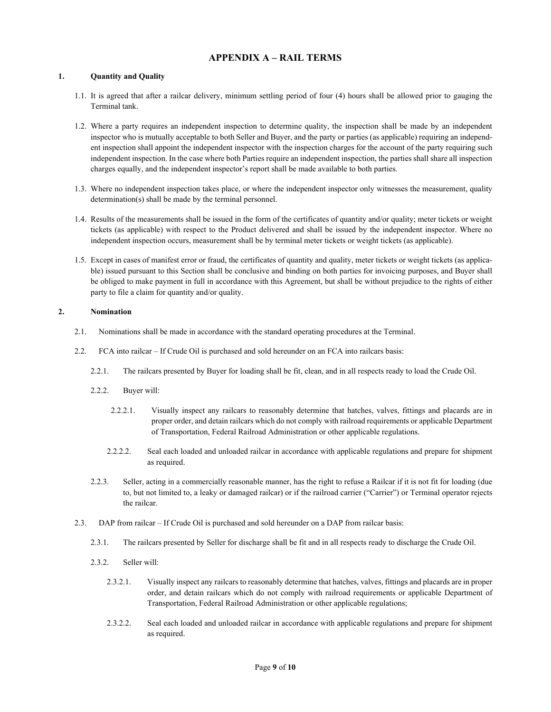# **APPENDIX A – RAIL TERMS**

### **1. Quantity and Quality**

- 1.1. It is agreed that after a railcar delivery, minimum settling period of four (4) hours shall be allowed prior to gauging the Terminal tank.
- 1.2. Where a party requires an independent inspection to determine quality, the inspection shall be made by an independent inspector who is mutually acceptable to both Seller and Buyer, and the party or parties (as applicable) requiring an independent inspection shall appoint the independent inspector with the inspection charges for the account of the party requiring such independent inspection. In the case where both Parties require an independent inspection, the parties shall share all inspection charges equally, and the independent inspector's report shall be made available to both parties.
- 1.3. Where no independent inspection takes place, or where the independent inspector only witnesses the measurement, quality determination(s) shall be made by the terminal personnel.
- 1.4. Results of the measurements shall be issued in the form of the certificates of quantity and/or quality; meter tickets or weight tickets (as applicable) with respect to the Product delivered and shall be issued by the independent inspector. Where no independent inspection occurs, measurement shall be by terminal meter tickets or weight tickets (as applicable).
- 1.5. Except in cases of manifest error or fraud, the certificates of quantity and quality, meter tickets or weight tickets (as applicable) issued pursuant to this Section shall be conclusive and binding on both parties for invoicing purposes, and Buyer shall be obliged to make payment in full in accordance with this Agreement, but shall be without prejudice to the rights of either party to file a claim for quantity and/or quality.

### **2. Nomination**

- 2.1. Nominations shall be made in accordance with the standard operating procedures at the Terminal.
- 2.2. FCA into railcar If Crude Oil is purchased and sold hereunder on an FCA into railcars basis:
	- 2.2.1. The railcars presented by Buyer for loading shall be fit, clean, and in all respects ready to load the Crude Oil.
	- 2.2.2. Buyer will:
		- 2.2.2.1. Visually inspect any railcars to reasonably determine that hatches, valves, fittings and placards are in proper order, and detain railcars which do not comply with railroad requirements or applicable Department of Transportation, Federal Railroad Administration or other applicable regulations.
		- 2.2.2.2. Seal each loaded and unloaded railcar in accordance with applicable regulations and prepare for shipment as required.
	- 2.2.3. Seller, acting in a commercially reasonable manner, has the right to refuse a Railcar if it is not fit for loading (due to, but not limited to, a leaky or damaged railcar) or if the railroad carrier ("Carrier") or Terminal operator rejects the railcar.
- 2.3. DAP from railcar If Crude Oil is purchased and sold hereunder on a DAP from railcar basis:
	- 2.3.1. The railcars presented by Seller for discharge shall be fit and in all respects ready to discharge the Crude Oil.
	- 2.3.2. Seller will:
		- 2.3.2.1. Visually inspect any railcars to reasonably determine that hatches, valves, fittings and placards are in proper order, and detain railcars which do not comply with railroad requirements or applicable Department of Transportation, Federal Railroad Administration or other applicable regulations;
		- 2.3.2.2. Seal each loaded and unloaded railcar in accordance with applicable regulations and prepare for shipment as required.